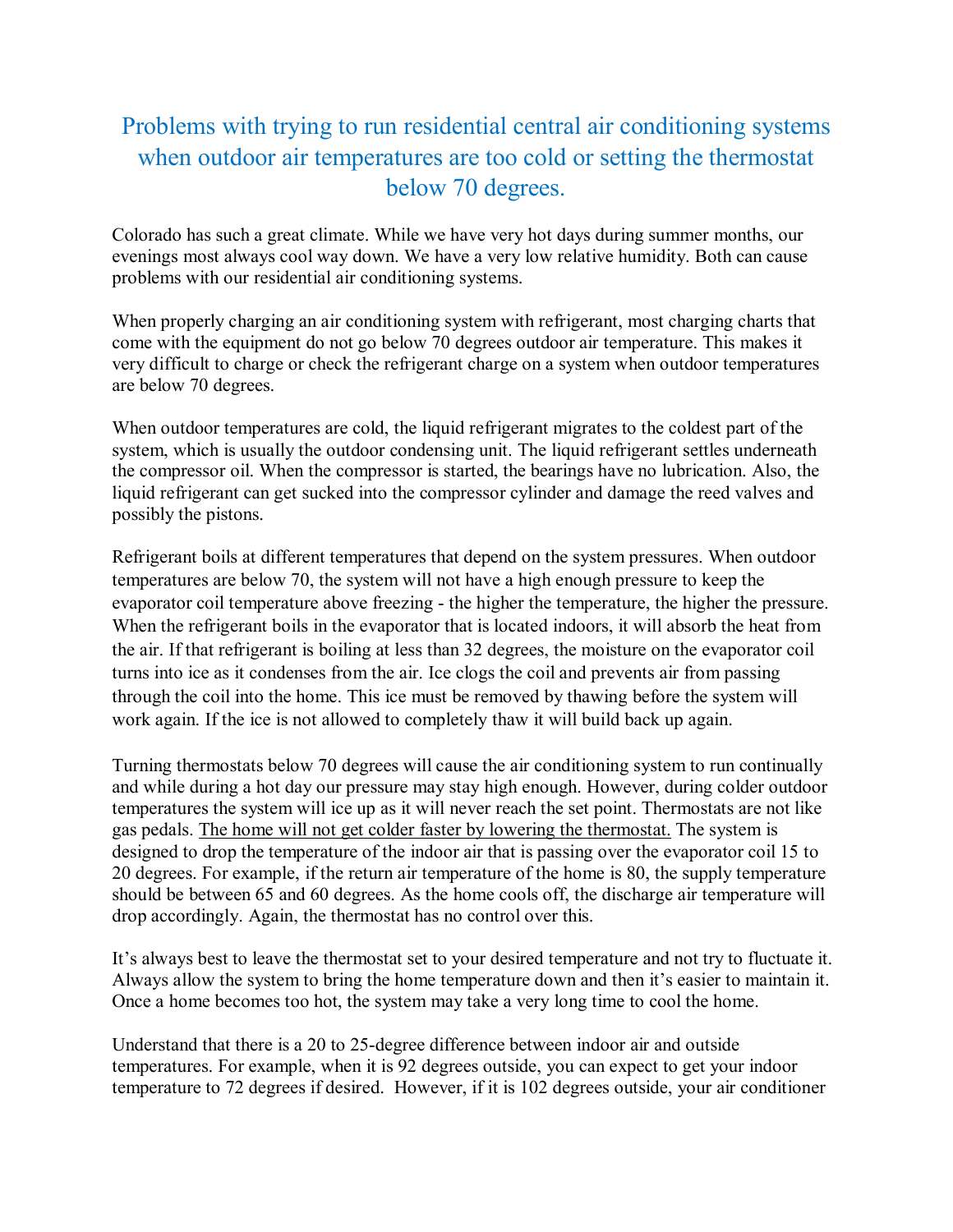## Problems with trying to run residential central air conditioning systems when outdoor air temperatures are too cold or setting the thermostat below 70 degrees.

Colorado has such a great climate. While we have very hot days during summer months, our evenings most always cool way down. We have a very low relative humidity. Both can cause problems with our residential air conditioning systems.

When properly charging an air conditioning system with refrigerant, most charging charts that come with the equipment do not go below 70 degrees outdoor air temperature. This makes it very difficult to charge or check the refrigerant charge on a system when outdoor temperatures are below 70 degrees.

When outdoor temperatures are cold, the liquid refrigerant migrates to the coldest part of the system, which is usually the outdoor condensing unit. The liquid refrigerant settles underneath the compressor oil. When the compressor is started, the bearings have no lubrication. Also, the liquid refrigerant can get sucked into the compressor cylinder and damage the reed valves and possibly the pistons.

Refrigerant boils at different temperatures that depend on the system pressures. When outdoor temperatures are below 70, the system will not have a high enough pressure to keep the evaporator coil temperature above freezing - the higher the temperature, the higher the pressure. When the refrigerant boils in the evaporator that is located indoors, it will absorb the heat from the air. If that refrigerant is boiling at less than 32 degrees, the moisture on the evaporator coil turns into ice as it condenses from the air. Ice clogs the coil and prevents air from passing through the coil into the home. This ice must be removed by thawing before the system will work again. If the ice is not allowed to completely thaw it will build back up again.

Turning thermostats below 70 degrees will cause the air conditioning system to run continually and while during a hot day our pressure may stay high enough. However, during colder outdoor temperatures the system will ice up as it will never reach the set point. Thermostats are not like gas pedals. The home will not get colder faster by lowering the thermostat. The system is designed to drop the temperature of the indoor air that is passing over the evaporator coil 15 to 20 degrees. For example, if the return air temperature of the home is 80, the supply temperature should be between 65 and 60 degrees. As the home cools off, the discharge air temperature will drop accordingly. Again, the thermostat has no control over this.

It's always best to leave the thermostat set to your desired temperature and not try to fluctuate it. Always allow the system to bring the home temperature down and then it's easier to maintain it. Once a home becomes too hot, the system may take a very long time to cool the home.

Understand that there is a 20 to 25-degree difference between indoor air and outside temperatures. For example, when it is 92 degrees outside, you can expect to get your indoor temperature to 72 degrees if desired. However, if it is 102 degrees outside, your air conditioner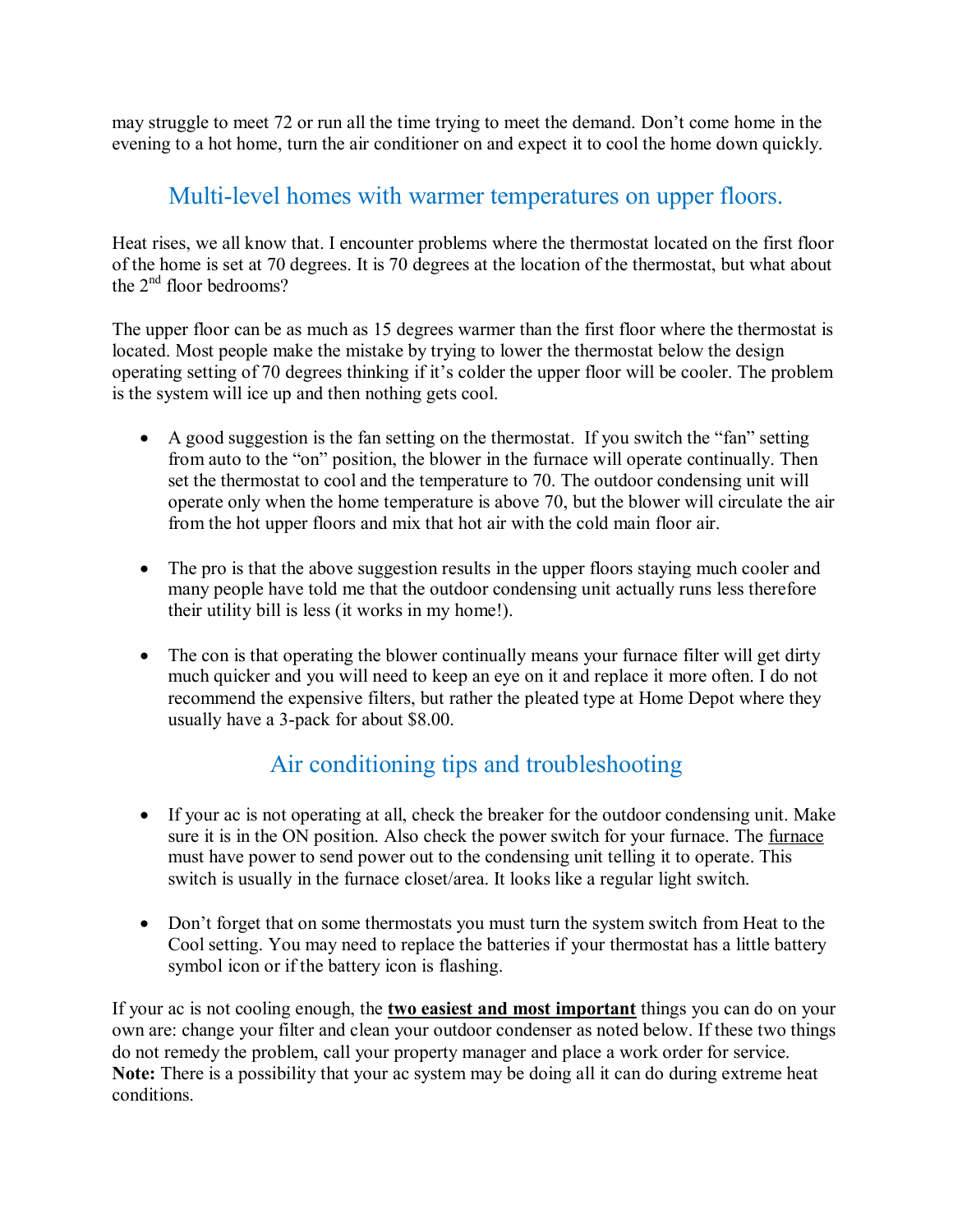may struggle to meet 72 or run all the time trying to meet the demand. Don't come home in the evening to a hot home, turn the air conditioner on and expect it to cool the home down quickly.

## Multi-level homes with warmer temperatures on upper floors.

Heat rises, we all know that. I encounter problems where the thermostat located on the first floor of the home is set at 70 degrees. It is 70 degrees at the location of the thermostat, but what about the  $2<sup>nd</sup>$  floor bedrooms?

The upper floor can be as much as 15 degrees warmer than the first floor where the thermostat is located. Most people make the mistake by trying to lower the thermostat below the design operating setting of 70 degrees thinking if it's colder the upper floor will be cooler. The problem is the system will ice up and then nothing gets cool.

- A good suggestion is the fan setting on the thermostat. If you switch the "fan" setting from auto to the "on" position, the blower in the furnace will operate continually. Then set the thermostat to cool and the temperature to 70. The outdoor condensing unit will operate only when the home temperature is above 70, but the blower will circulate the air from the hot upper floors and mix that hot air with the cold main floor air.
- The pro is that the above suggestion results in the upper floors staying much cooler and many people have told me that the outdoor condensing unit actually runs less therefore their utility bill is less (it works in my home!).
- The con is that operating the blower continually means your furnace filter will get dirty much quicker and you will need to keep an eye on it and replace it more often. I do not recommend the expensive filters, but rather the pleated type at Home Depot where they usually have a 3-pack for about \$8.00.

## Air conditioning tips and troubleshooting

- If your ac is not operating at all, check the breaker for the outdoor condensing unit. Make sure it is in the ON position. Also check the power switch for your furnace. The furnace must have power to send power out to the condensing unit telling it to operate. This switch is usually in the furnace closet/area. It looks like a regular light switch.
- Don't forget that on some thermostats you must turn the system switch from Heat to the Cool setting. You may need to replace the batteries if your thermostat has a little battery symbol icon or if the battery icon is flashing.

If your ac is not cooling enough, the **two easiest and most important** things you can do on your own are: change your filter and clean your outdoor condenser as noted below. If these two things do not remedy the problem, call your property manager and place a work order for service. **Note:** There is a possibility that your ac system may be doing all it can do during extreme heat conditions.